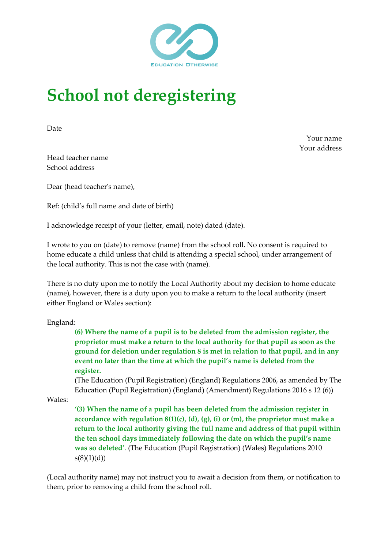

## **School not deregistering**

Date

Your name Your address

Head teacher name School address

Dear (head teacher's name),

Ref: (child's full name and date of birth)

I acknowledge receipt of your (letter, email, note) dated (date).

I wrote to you on (date) to remove (name) from the school roll. No consent is required to home educate a child unless that child is attending a special school, under arrangement of the local authority. This is not the case with (name).

There is no duty upon me to notify the Local Authority about my decision to home educate (name), however, there is a duty upon you to make a return to the local authority (insert either England or Wales section):

England:

**(6) Where the name of a pupil is to be deleted from the admission register, the proprietor must make a return to the local authority for that pupil as soon as the ground for deletion under regulation 8 is met in relation to that pupil, and in any event no later than the time at which the pupil's name is deleted from the register.** 

(The Education (Pupil Registration) (England) Regulations 2006, as amended by The Education (Pupil Registration) (England) (Amendment) Regulations 2016 s 12 (6))

Wales:

**'(3) When the name of a pupil has been deleted from the admission register in accordance with regulation 8(1)(c), (d), (g), (i) or (m), the proprietor must make a return to the local authority giving the full name and address of that pupil within the ten school days immediately following the date on which the pupil's name was so deleted'**. (The Education (Pupil Registration) (Wales) Regulations 2010  $s(8)(1)(d)$ 

(Local authority name) may not instruct you to await a decision from them, or notification to them, prior to removing a child from the school roll.